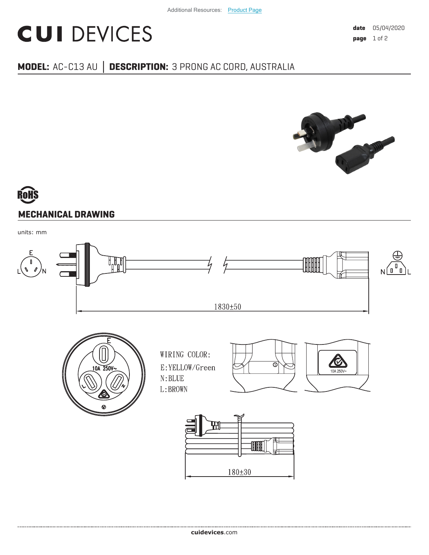## **CUI DEVICES**

### **MODEL:** AC-C13 AU **│ DESCRIPTION:** 3 PRONG AC CORD, AUSTRALIA



# **MECHANICAL DRAWING**

units: mm

.....................................